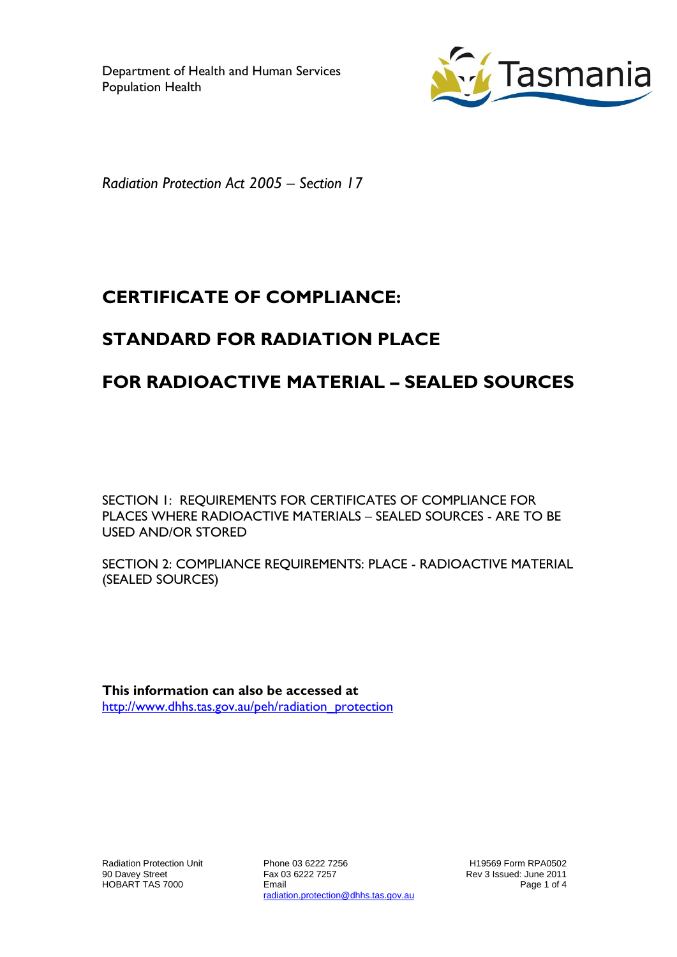

*Radiation Protection Act 2005 – Section 17*

# **CERTIFICATE OF COMPLIANCE:**

# **STANDARD FOR RADIATION PLACE**

# **FOR RADIOACTIVE MATERIAL – SEALED SOURCES**

SECTION 1: REQUIREMENTS FOR CERTIFICATES OF COMPLIANCE FOR PLACES WHERE RADIOACTIVE MATERIALS – SEALED SOURCES - ARE TO BE USED AND/OR STORED

SECTION 2: COMPLIANCE REQUIREMENTS: PLACE - RADIOACTIVE MATERIAL (SEALED SOURCES)

**This information can also be accessed at** [http://www.dhhs.tas.gov.au/peh/radiation\\_protection](http://www.dhhs.tas.gov.au/peh/radiation_protection)

Radiation Protection Unit 90 Davey Street HOBART TAS 7000

Phone 03 6222 7256 Fax 03 6222 7257 Email radiation.protection@dhhs.tas.gov.au

H19569 Form RPA0502 Rev 3 Issued: June 2011 Page 1 of 4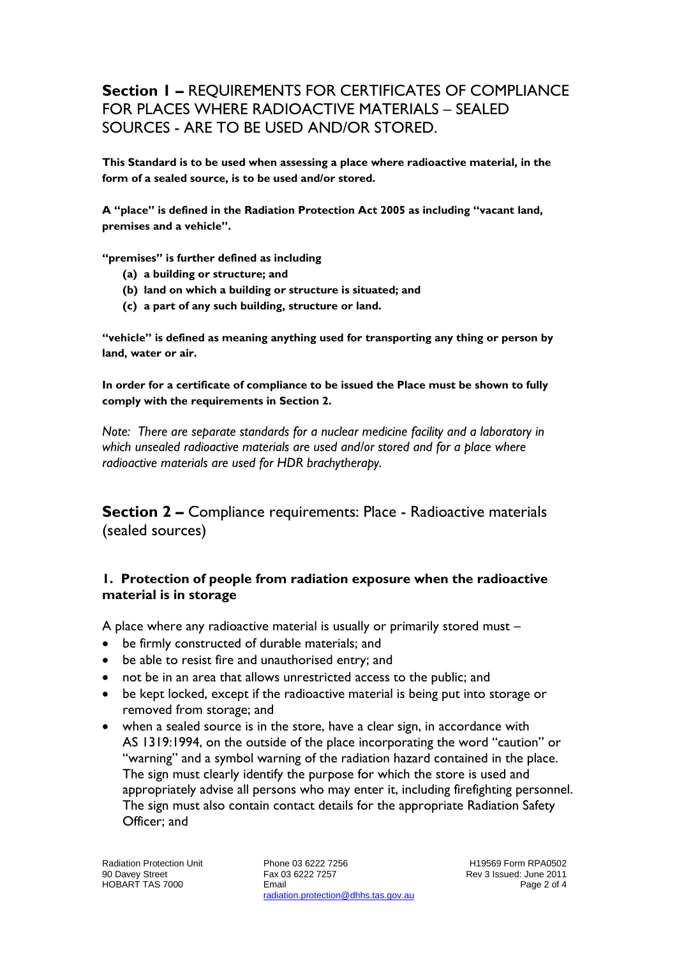## **Section 1 –** REQUIREMENTS FOR CERTIFICATES OF COMPLIANCE FOR PLACES WHERE RADIOACTIVE MATERIALS – SEALED SOURCES - ARE TO BE USED AND/OR STORED.

**This Standard is to be used when assessing a place where radioactive material, in the form of a sealed source, is to be used and/or stored.**

**A "place" is defined in the Radiation Protection Act 2005 as including "vacant land, premises and a vehicle".**

**"premises" is further defined as including**

- **(a) a building or structure; and**
- **(b) land on which a building or structure is situated; and**
- **(c) a part of any such building, structure or land.**

**"vehicle" is defined as meaning anything used for transporting any thing or person by land, water or air.**

**In order for a certificate of compliance to be issued the Place must be shown to fully comply with the requirements in Section 2.**

*Note: There are separate standards for a nuclear medicine facility and a laboratory in which unsealed radioactive materials are used and/or stored and for a place where radioactive materials are used for HDR brachytherapy.*

**Section 2 –** Compliance requirements: Place - Radioactive materials (sealed sources)

#### **1. Protection of people from radiation exposure when the radioactive material is in storage**

A place where any radioactive material is usually or primarily stored must –

- be firmly constructed of durable materials; and
- be able to resist fire and unauthorised entry; and
- not be in an area that allows unrestricted access to the public; and
- be kept locked, except if the radioactive material is being put into storage or removed from storage; and
- when a sealed source is in the store, have a clear sign, in accordance with AS 1319:1994, on the outside of the place incorporating the word "caution" or "warning" and a symbol warning of the radiation hazard contained in the place. The sign must clearly identify the purpose for which the store is used and appropriately advise all persons who may enter it, including firefighting personnel. The sign must also contain contact details for the appropriate Radiation Safety Officer; and

Phone 03 6222 7256 Fax 03 6222 7257 Email radiation.protection@dhhs.tas.gov.au

H19569 Form RPA0502 Rev 3 Issued: June 2011 Page 2 of 4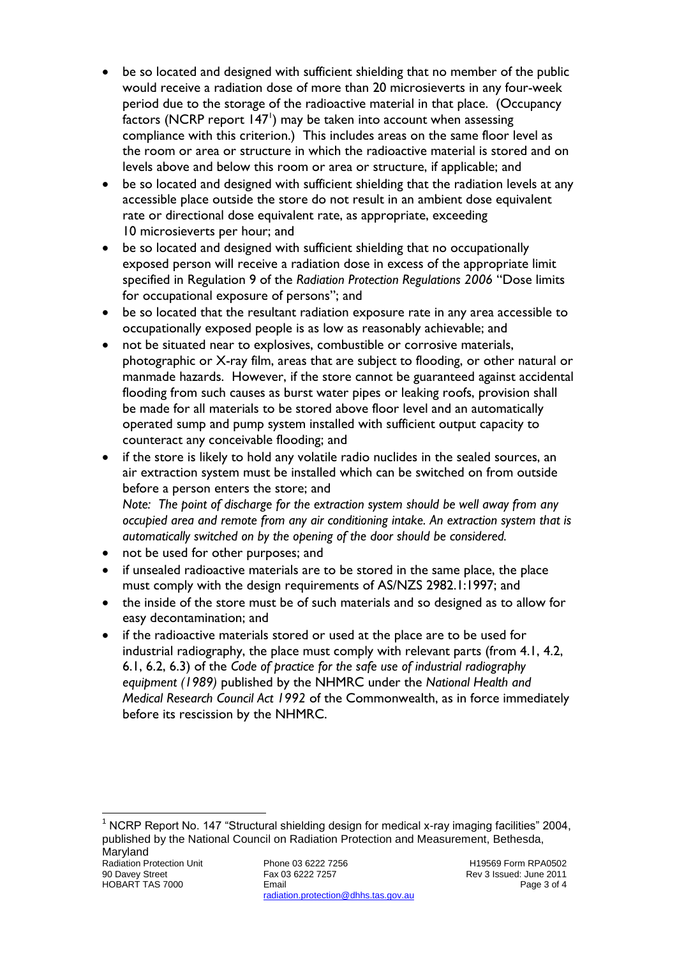- be so located and designed with sufficient shielding that no member of the public would receive a radiation dose of more than 20 microsieverts in any four-week period due to the storage of the radioactive material in that place. (Occupancy factors (NCRP report  $147'$ ) may be taken into account when assessing compliance with this criterion.) This includes areas on the same floor level as the room or area or structure in which the radioactive material is stored and on levels above and below this room or area or structure, if applicable; and
- be so located and designed with sufficient shielding that the radiation levels at any accessible place outside the store do not result in an ambient dose equivalent rate or directional dose equivalent rate, as appropriate, exceeding 10 microsieverts per hour; and
- be so located and designed with sufficient shielding that no occupationally exposed person will receive a radiation dose in excess of the appropriate limit specified in Regulation 9 of the *Radiation Protection Regulations 2006* "Dose limits for occupational exposure of persons"; and
- be so located that the resultant radiation exposure rate in any area accessible to occupationally exposed people is as low as reasonably achievable; and
- not be situated near to explosives, combustible or corrosive materials, photographic or X-ray film, areas that are subject to flooding, or other natural or manmade hazards. However, if the store cannot be guaranteed against accidental flooding from such causes as burst water pipes or leaking roofs, provision shall be made for all materials to be stored above floor level and an automatically operated sump and pump system installed with sufficient output capacity to counteract any conceivable flooding; and
- if the store is likely to hold any volatile radio nuclides in the sealed sources, an air extraction system must be installed which can be switched on from outside before a person enters the store; and *Note: The point of discharge for the extraction system should be well away from any occupied area and remote from any air conditioning intake. An extraction system that is automatically switched on by the opening of the door should be considered.*
- not be used for other purposes; and
- if unsealed radioactive materials are to be stored in the same place, the place must comply with the design requirements of AS/NZS 2982.1:1997; and
- the inside of the store must be of such materials and so designed as to allow for easy decontamination; and
- if the radioactive materials stored or used at the place are to be used for industrial radiography, the place must comply with relevant parts (from 4.1, 4.2, 6.1, 6.2, 6.3) of the *Code of practice for the safe use of industrial radiography equipment (1989)* published by the NHMRC under the *National Health and Medical Research Council Act 1992* of the Commonwealth, as in force immediately before its rescission by the NHMRC.

<sup>1</sup> NCRP Report No. 147 "Structural shielding design for medical x-ray imaging facilities" 2004, published by the National Council on Radiation Protection and Measurement, Bethesda, Maryland

 $\overline{a}$